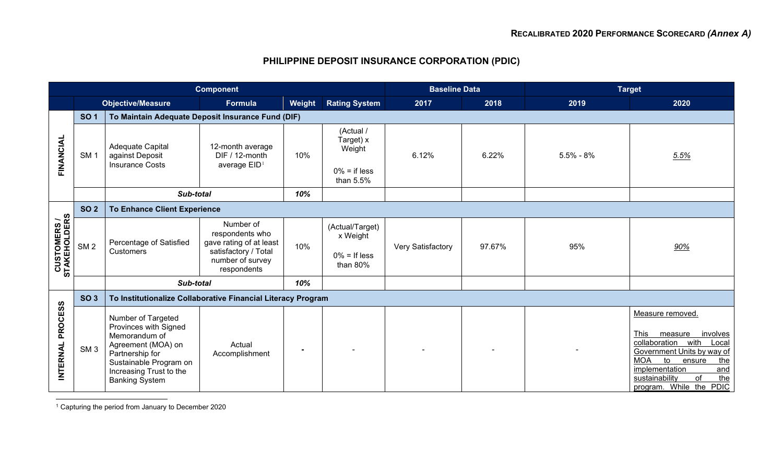## <span id="page-0-0"></span>**PHILIPPINE DEPOSIT INSURANCE CORPORATION (PDIC)**

| <b>Component</b>                    |                 |                                                                                                                                                                                     |                                                                                                     |        |                                                            | <b>Baseline Data</b> |        | <b>Target</b> |                                                                                                                                                                                                                                             |
|-------------------------------------|-----------------|-------------------------------------------------------------------------------------------------------------------------------------------------------------------------------------|-----------------------------------------------------------------------------------------------------|--------|------------------------------------------------------------|----------------------|--------|---------------|---------------------------------------------------------------------------------------------------------------------------------------------------------------------------------------------------------------------------------------------|
|                                     |                 | <b>Objective/Measure</b>                                                                                                                                                            | <b>Formula</b>                                                                                      | Weight | <b>Rating System</b>                                       | 2017                 | 2018   | 2019          | 2020                                                                                                                                                                                                                                        |
|                                     | <b>SO1</b>      | To Maintain Adequate Deposit Insurance Fund (DIF)                                                                                                                                   |                                                                                                     |        |                                                            |                      |        |               |                                                                                                                                                                                                                                             |
| FINANCIAL                           | SM <sub>1</sub> | Adequate Capital<br>against Deposit<br><b>Insurance Costs</b>                                                                                                                       | 12-month average<br>DIF / 12-month<br>average EID <sup>1</sup>                                      | 10%    | (Actual /<br>Target) x<br>Weight                           | 6.12%                | 6.22%  | $5.5\% - 8\%$ | 5.5%                                                                                                                                                                                                                                        |
|                                     |                 |                                                                                                                                                                                     |                                                                                                     |        | $0\% =$ if less<br>than 5.5%                               |                      |        |               |                                                                                                                                                                                                                                             |
|                                     |                 | Sub-total                                                                                                                                                                           |                                                                                                     | 10%    |                                                            |                      |        |               |                                                                                                                                                                                                                                             |
|                                     | <b>SO 2</b>     | <b>To Enhance Client Experience</b>                                                                                                                                                 |                                                                                                     |        |                                                            |                      |        |               |                                                                                                                                                                                                                                             |
| <b>CUSTOMERS /<br/>STAKEHOLDERS</b> | SM <sub>2</sub> | Percentage of Satisfied<br><b>Customers</b>                                                                                                                                         | Number of<br>respondents who<br>gave rating of at least<br>satisfactory / Total<br>number of survey | 10%    | (Actual/Target)<br>x Weight<br>$0\% =$ If less<br>than 80% | Very Satisfactory    | 97.67% | 95%           | 90%                                                                                                                                                                                                                                         |
|                                     |                 |                                                                                                                                                                                     | respondents                                                                                         |        |                                                            |                      |        |               |                                                                                                                                                                                                                                             |
|                                     |                 | Sub-total                                                                                                                                                                           |                                                                                                     | 10%    |                                                            |                      |        |               |                                                                                                                                                                                                                                             |
|                                     | <b>SO 3</b>     | To Institutionalize Collaborative Financial Literacy Program                                                                                                                        |                                                                                                     |        |                                                            |                      |        |               |                                                                                                                                                                                                                                             |
| <b>PROCESS</b><br><b>INTERNAL</b>   | SM <sub>3</sub> | Number of Targeted<br>Provinces with Signed<br>Memorandum of<br>Agreement (MOA) on<br>Partnership for<br>Sustainable Program on<br>Increasing Trust to the<br><b>Banking System</b> | Actual<br>Accomplishment                                                                            |        |                                                            |                      |        |               | Measure removed.<br><b>This</b><br>involves<br>measure<br>collaboration with<br>Local<br>Government Units by way of<br><b>MOA</b><br>to<br>the<br>ensure<br>implementation<br>and<br>the<br>of<br>sustainability<br>program. While the PDIC |

<sup>1</sup> Capturing the period from January to December 2020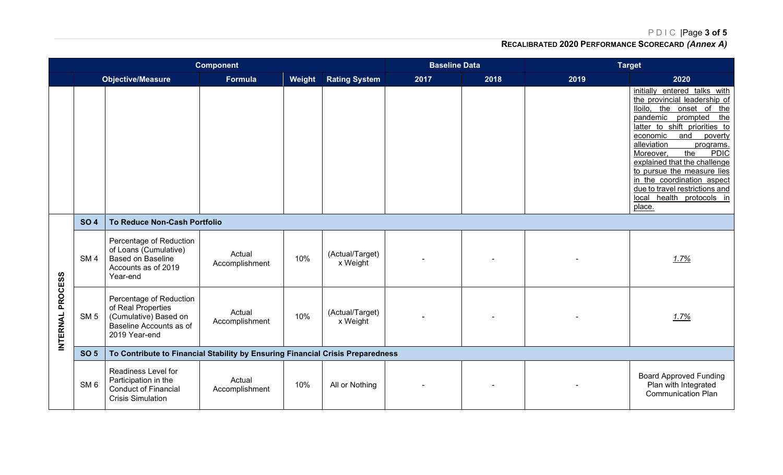PDIC |Page **3 of 5**

## **RECALIBRATED 2020 PERFORMANCE SCORECARD** *(Annex A)*

| <b>Component</b> |                 |                                                                                                                    |                          |        |                             | <b>Baseline Data</b> |      | <b>Target</b> |                                                                                                                                                                                                                                                                                                                                                                                                                            |  |
|------------------|-----------------|--------------------------------------------------------------------------------------------------------------------|--------------------------|--------|-----------------------------|----------------------|------|---------------|----------------------------------------------------------------------------------------------------------------------------------------------------------------------------------------------------------------------------------------------------------------------------------------------------------------------------------------------------------------------------------------------------------------------------|--|
|                  |                 | <b>Objective/Measure</b>                                                                                           | <b>Formula</b>           | Weight | <b>Rating System</b>        | 2017                 | 2018 | 2019          | 2020                                                                                                                                                                                                                                                                                                                                                                                                                       |  |
|                  |                 |                                                                                                                    |                          |        |                             |                      |      |               | initially entered talks with<br>the provincial leadership of<br>lloilo, the onset of the<br>pandemic prompted<br>the<br>latter to shift priorities to<br>economic<br>and<br>poverty<br>alleviation<br>programs.<br><b>PDIC</b><br>Moreover,<br>the<br>explained that the challenge<br>to pursue the measure lies<br>in the coordination aspect<br>due to travel restrictions and<br>health protocols in<br>local<br>place. |  |
|                  | <b>SO 4</b>     | To Reduce Non-Cash Portfolio                                                                                       |                          |        |                             |                      |      |               |                                                                                                                                                                                                                                                                                                                                                                                                                            |  |
| INTERNAL PROCESS | SM <sub>4</sub> | Percentage of Reduction<br>of Loans (Cumulative)<br><b>Based on Baseline</b><br>Accounts as of 2019<br>Year-end    | Actual<br>Accomplishment | 10%    | (Actual/Target)<br>x Weight |                      |      |               | 1.7%                                                                                                                                                                                                                                                                                                                                                                                                                       |  |
|                  | SM <sub>5</sub> | Percentage of Reduction<br>of Real Properties<br>(Cumulative) Based on<br>Baseline Accounts as of<br>2019 Year-end | Actual<br>Accomplishment | 10%    | (Actual/Target)<br>x Weight |                      |      |               | 1.7%                                                                                                                                                                                                                                                                                                                                                                                                                       |  |
|                  | <b>SO 5</b>     | To Contribute to Financial Stability by Ensuring Financial Crisis Preparedness                                     |                          |        |                             |                      |      |               |                                                                                                                                                                                                                                                                                                                                                                                                                            |  |
|                  | SM <sub>6</sub> | Readiness Level for<br>Participation in the<br><b>Conduct of Financial</b><br><b>Crisis Simulation</b>             | Actual<br>Accomplishment | 10%    | All or Nothing              |                      |      |               | <b>Board Approved Funding</b><br>Plan with Integrated<br><b>Communication Plan</b>                                                                                                                                                                                                                                                                                                                                         |  |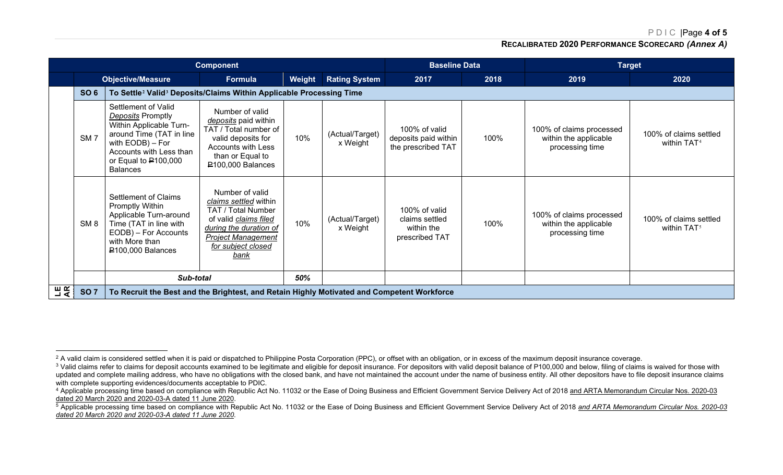PDIC |Page **4 of 5**

<span id="page-2-3"></span><span id="page-2-2"></span><span id="page-2-1"></span><span id="page-2-0"></span>**RECALIBRATED 2020 PERFORMANCE SCORECARD** *(Annex A)*

|        | <b>Component</b>                    |                                                                                                                                                                                                                |                                                                                                                                                                              |                      |                             |                                                                 | <b>Baseline Data</b> | <b>Target</b>                                                        |                                                   |  |  |
|--------|-------------------------------------|----------------------------------------------------------------------------------------------------------------------------------------------------------------------------------------------------------------|------------------------------------------------------------------------------------------------------------------------------------------------------------------------------|----------------------|-----------------------------|-----------------------------------------------------------------|----------------------|----------------------------------------------------------------------|---------------------------------------------------|--|--|
|        | <b>Objective/Measure</b><br>Formula |                                                                                                                                                                                                                | Weight                                                                                                                                                                       | <b>Rating System</b> | 2017                        | 2018                                                            | 2019                 | 2020                                                                 |                                                   |  |  |
|        | <b>SO 6</b>                         | To Settle <sup>2</sup> Valid <sup>3</sup> Deposits/Claims Within Applicable Processing Time                                                                                                                    |                                                                                                                                                                              |                      |                             |                                                                 |                      |                                                                      |                                                   |  |  |
|        | SM <sub>7</sub>                     | Settlement of Valid<br><b>Deposits Promptly</b><br>Within Applicable Turn-<br>around Time (TAT in line<br>with $EODB$ ) – For<br>Accounts with Less than<br>or Equal to $\mathsf{P}100,000$<br><b>Balances</b> | Number of valid<br>deposits paid within<br>TAT / Total number of<br>valid deposits for<br><b>Accounts with Less</b><br>than or Equal to<br>P100,000 Balances                 | 10%                  | (Actual/Target)<br>x Weight | 100% of valid<br>deposits paid within<br>the prescribed TAT     | 100%                 | 100% of claims processed<br>within the applicable<br>processing time | 100% of claims settled<br>within TAT <sup>4</sup> |  |  |
|        | SM <sub>8</sub>                     | Settlement of Claims<br>Promptly Within<br>Applicable Turn-around<br>Time (TAT in line with<br>EODB) - For Accounts<br>with More than<br>₽100,000 Balances                                                     | Number of valid<br>claims settled within<br>TAT / Total Number<br>of valid claims filed<br>during the duration of<br><b>Project Management</b><br>for subject closed<br>bank | 10%                  | (Actual/Target)<br>x Weight | 100% of valid<br>claims settled<br>within the<br>prescribed TAT | 100%                 | 100% of claims processed<br>within the applicable<br>processing time | 100% of claims settled<br>within TAT <sup>5</sup> |  |  |
|        |                                     | Sub-total                                                                                                                                                                                                      |                                                                                                                                                                              | 50%                  |                             |                                                                 |                      |                                                                      |                                                   |  |  |
| 山<br>文 | <b>SO 7</b>                         | To Recruit the Best and the Brightest, and Retain Highly Motivated and Competent Workforce                                                                                                                     |                                                                                                                                                                              |                      |                             |                                                                 |                      |                                                                      |                                                   |  |  |

<sup>&</sup>lt;sup>2</sup> A valid claim is considered settled when it is paid or dispatched to Philippine Posta Corporation (PPC), or offset with an obligation, or in excess of the maximum deposit insurance coverage.

<sup>&</sup>lt;sup>3</sup> Valid claims refer to claims for deposit accounts examined to be legitimate and eligible for deposit insurance. For depositors with valid deposit balance of P100,000 and below, filing of claims is waived for those with updated and complete mailing address, who have no obligations with the closed bank, and have not maintained the account under the name of business entity. All other depositors have to file deposit insurance claims with complete supporting evidences/documents acceptable to PDIC.

<sup>4</sup> Applicable processing time based on compliance with Republic Act No. 11032 or the Ease of Doing Business and Efficient Government Service Delivery Act of 2018 and ARTA Memorandum Circular Nos. 2020-03 dated 20 March 2020 and 2020-03-A dated 11 June 2020.

<sup>&</sup>lt;sup>5</sup> Applicable processing time based on compliance with Republic Act No. 11032 or the Ease of Doing Business and Efficient Government Service Delivery Act of 2018 and ARTA Memorandum Circular Nos. 2020-03 *dated 20 March 2020 and 2020-03-A dated 11 June 2020.*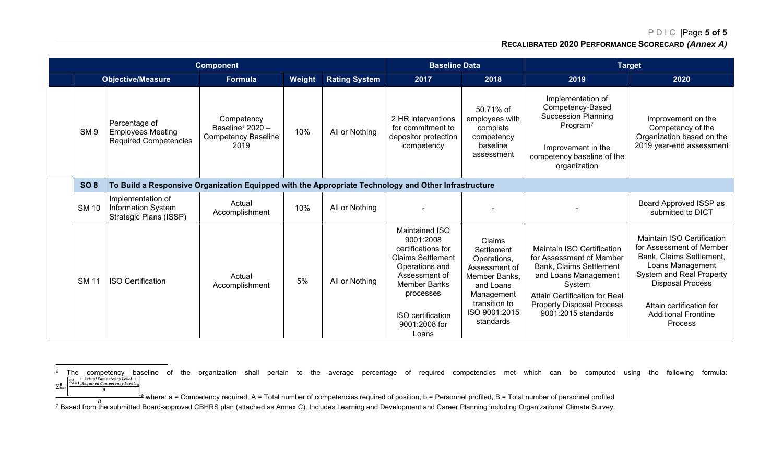PDIC |Page **5 of 5**

## <span id="page-3-1"></span><span id="page-3-0"></span>**RECALIBRATED 2020 PERFORMANCE SCORECARD** *(Annex A)*

| <b>Component</b> |                 |                                                                                                      |                                                                                  |        |                      | <b>Baseline Data</b>                                                                                                                                                                                              |                                                                                                                                                 | <b>Target</b>                                                                                                                                                                                                                        |                                                                                                                                                                                                                                                   |
|------------------|-----------------|------------------------------------------------------------------------------------------------------|----------------------------------------------------------------------------------|--------|----------------------|-------------------------------------------------------------------------------------------------------------------------------------------------------------------------------------------------------------------|-------------------------------------------------------------------------------------------------------------------------------------------------|--------------------------------------------------------------------------------------------------------------------------------------------------------------------------------------------------------------------------------------|---------------------------------------------------------------------------------------------------------------------------------------------------------------------------------------------------------------------------------------------------|
|                  |                 | <b>Objective/Measure</b>                                                                             | Formula                                                                          | Weight | <b>Rating System</b> | 2017                                                                                                                                                                                                              | 2018                                                                                                                                            | 2019                                                                                                                                                                                                                                 | 2020                                                                                                                                                                                                                                              |
|                  | SM <sub>9</sub> | Percentage of<br><b>Employees Meeting</b><br><b>Required Competencies</b>                            | Competency<br>Baseline <sup>6</sup> 2020 -<br><b>Competency Baseline</b><br>2019 | 10%    | All or Nothing       | 2 HR interventions<br>for commitment to<br>depositor protection<br>competency                                                                                                                                     | 50.71% of<br>employees with<br>complete<br>competency<br>baseline<br>assessment                                                                 | Implementation of<br>Competency-Based<br><b>Succession Planning</b><br>Program <sup>7</sup><br>Improvement in the<br>competency baseline of the<br>organization                                                                      | Improvement on the<br>Competency of the<br>Organization based on the<br>2019 year-end assessment                                                                                                                                                  |
|                  | <b>SO 8</b>     | To Build a Responsive Organization Equipped with the Appropriate Technology and Other Infrastructure |                                                                                  |        |                      |                                                                                                                                                                                                                   |                                                                                                                                                 |                                                                                                                                                                                                                                      |                                                                                                                                                                                                                                                   |
|                  | <b>SM 10</b>    | Implementation of<br><b>Information System</b><br>Strategic Plans (ISSP)                             | Actual<br>Accomplishment                                                         | 10%    | All or Nothing       |                                                                                                                                                                                                                   |                                                                                                                                                 |                                                                                                                                                                                                                                      | Board Approved ISSP as<br>submitted to DICT                                                                                                                                                                                                       |
|                  | <b>SM 11</b>    | <b>ISO Certification</b>                                                                             | Actual<br>Accomplishment                                                         | 5%     | All or Nothing       | <b>Maintained ISO</b><br>9001:2008<br>certifications for<br><b>Claims Settlement</b><br>Operations and<br>Assessment of<br><b>Member Banks</b><br>processes<br><b>ISO</b> certification<br>9001:2008 for<br>Loans | Claims<br>Settlement<br>Operations,<br>Assessment of<br>Member Banks.<br>and Loans<br>Management<br>transition to<br>ISO 9001:2015<br>standards | <b>Maintain ISO Certification</b><br>for Assessment of Member<br><b>Bank, Claims Settlement</b><br>and Loans Management<br>System<br><b>Attain Certification for Real</b><br><b>Property Disposal Process</b><br>9001:2015 standards | <b>Maintain ISO Certification</b><br>for Assessment of Member<br>Bank, Claims Settlement,<br>Loans Management<br>System and Real Property<br><b>Disposal Process</b><br>Attain certification for<br><b>Additional Frontline</b><br><b>Process</b> |

 $^6$  The competency baseline of the organization shall pertain to the average percentage of required competencies met which can be computed using the following formula:  $\sum_{b=1}^{n}$  $\sum_{b=1}^{B} \frac{\sum_{a=1}^{A} \left(\frac{Actual \text{ } Competency \text{ } Level}{Required \text{ } Competency \text{ } Level}\right)_{a}}{A}$ 

where: a = Competency required, A = Total number of competencies required of position, b = Personnel profiled, B = Total number of personnel profiled<br>B = Total number of personnel profiled

<sup>7</sup> Based from the submitted Board-approved CBHRS plan (attached as Annex C). Includes Learning and Development and Career Planning including Organizational Climate Survey.